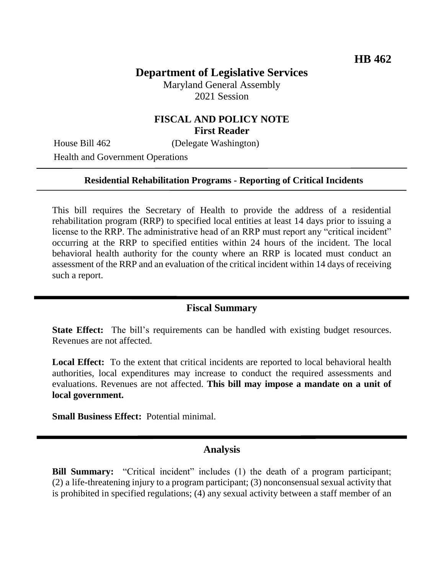# **Department of Legislative Services**

Maryland General Assembly 2021 Session

# **FISCAL AND POLICY NOTE First Reader**

House Bill 462 (Delegate Washington)

Health and Government Operations

### **Residential Rehabilitation Programs - Reporting of Critical Incidents**

This bill requires the Secretary of Health to provide the address of a residential rehabilitation program (RRP) to specified local entities at least 14 days prior to issuing a license to the RRP. The administrative head of an RRP must report any "critical incident" occurring at the RRP to specified entities within 24 hours of the incident. The local behavioral health authority for the county where an RRP is located must conduct an assessment of the RRP and an evaluation of the critical incident within 14 days of receiving such a report.

### **Fiscal Summary**

**State Effect:** The bill's requirements can be handled with existing budget resources. Revenues are not affected.

**Local Effect:** To the extent that critical incidents are reported to local behavioral health authorities, local expenditures may increase to conduct the required assessments and evaluations. Revenues are not affected. **This bill may impose a mandate on a unit of local government.**

**Small Business Effect:** Potential minimal.

### **Analysis**

**Bill Summary:** "Critical incident" includes (1) the death of a program participant; (2) a life-threatening injury to a program participant; (3) nonconsensual sexual activity that is prohibited in specified regulations; (4) any sexual activity between a staff member of an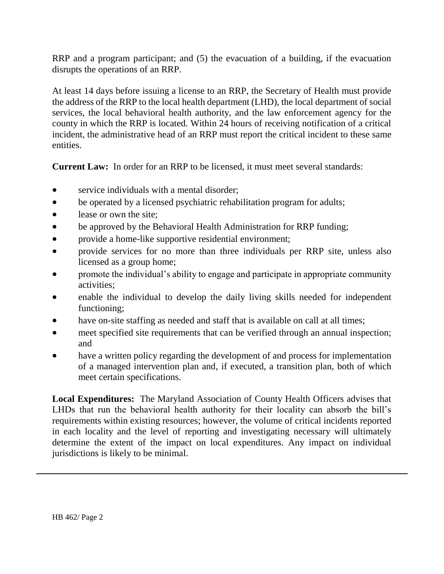RRP and a program participant; and (5) the evacuation of a building, if the evacuation disrupts the operations of an RRP.

At least 14 days before issuing a license to an RRP, the Secretary of Health must provide the address of the RRP to the local health department (LHD), the local department of social services, the local behavioral health authority, and the law enforcement agency for the county in which the RRP is located. Within 24 hours of receiving notification of a critical incident, the administrative head of an RRP must report the critical incident to these same entities.

**Current Law:** In order for an RRP to be licensed, it must meet several standards:

- service individuals with a mental disorder;
- be operated by a licensed psychiatric rehabilitation program for adults;
- lease or own the site;
- be approved by the Behavioral Health Administration for RRP funding;
- provide a home-like supportive residential environment;
- provide services for no more than three individuals per RRP site, unless also licensed as a group home;
- promote the individual's ability to engage and participate in appropriate community activities;
- enable the individual to develop the daily living skills needed for independent functioning;
- have on-site staffing as needed and staff that is available on call at all times;
- meet specified site requirements that can be verified through an annual inspection; and
- have a written policy regarding the development of and process for implementation of a managed intervention plan and, if executed, a transition plan, both of which meet certain specifications.

**Local Expenditures:** The Maryland Association of County Health Officers advises that LHDs that run the behavioral health authority for their locality can absorb the bill's requirements within existing resources; however, the volume of critical incidents reported in each locality and the level of reporting and investigating necessary will ultimately determine the extent of the impact on local expenditures. Any impact on individual jurisdictions is likely to be minimal.